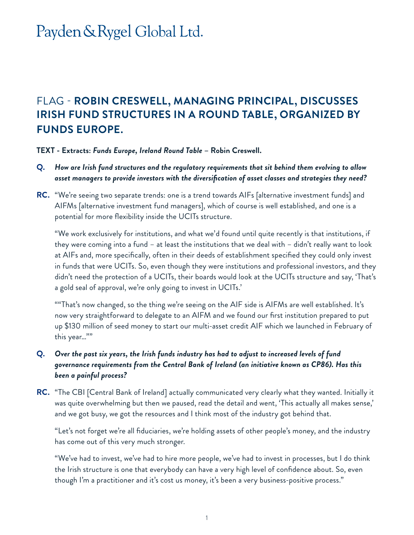# Payden & Rygel Global Ltd.

### FLAG - **ROBIN CRESWELL, MANAGING PRINCIPAL, DISCUSSES IRISH FUND STRUCTURES IN A ROUND TABLE, ORGANIZED BY FUNDS EUROPE.**

#### **TEXT - Extracts:** *Funds Europe, Ireland Round Table* **– Robin Creswell.**

- **Q.** *How are Irish fund structures and the regulatory requirements that sit behind them evolving to allow asset managers to provide investors with the diversification of asset classes and strategies they need?*
- **RC.** "We're seeing two separate trends: one is a trend towards AIFs [alternative investment funds] and AIFMs [alternative investment fund managers], which of course is well established, and one is a potential for more flexibility inside the UCITs structure.

"We work exclusively for institutions, and what we'd found until quite recently is that institutions, if they were coming into a fund – at least the institutions that we deal with – didn't really want to look at AIFs and, more specifically, often in their deeds of establishment specified they could only invest in funds that were UCITs. So, even though they were institutions and professional investors, and they didn't need the protection of a UCITs, their boards would look at the UCITs structure and say, 'That's a gold seal of approval, we're only going to invest in UCITs.'

""That's now changed, so the thing we're seeing on the AIF side is AIFMs are well established. It's now very straightforward to delegate to an AIFM and we found our first institution prepared to put up \$130 million of seed money to start our multi-asset credit AIF which we launched in February of this year…""

#### **Q.** *Over the past six years, the Irish funds industry has had to adjust to increased levels of fund governance requirements from the Central Bank of Ireland (an initiative known as CP86). Has this been a painful process?*

**RC.** "The CBI [Central Bank of Ireland] actually communicated very clearly what they wanted. Initially it was quite overwhelming but then we paused, read the detail and went, 'This actually all makes sense,' and we got busy, we got the resources and I think most of the industry got behind that.

"Let's not forget we're all fiduciaries, we're holding assets of other people's money, and the industry has come out of this very much stronger.

"We've had to invest, we've had to hire more people, we've had to invest in processes, but I do think the Irish structure is one that everybody can have a very high level of confidence about. So, even though I'm a practitioner and it's cost us money, it's been a very business-positive process."